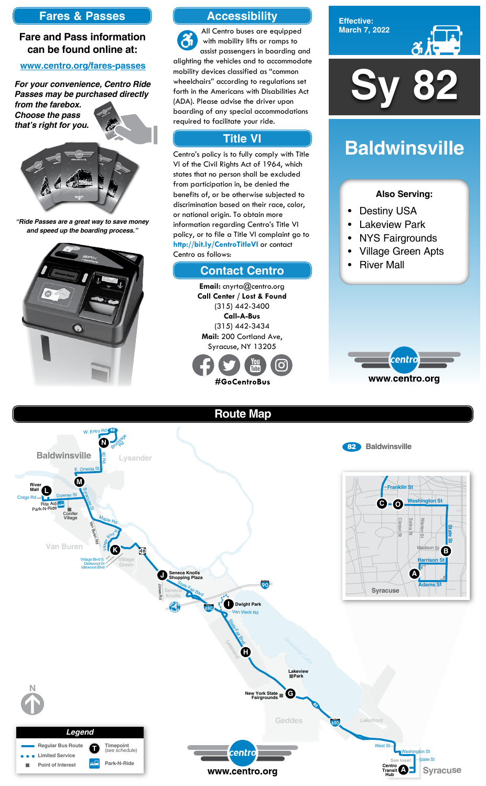

**Effective: March 7, 2022**



- Destiny USA
- **Lakeview Park**
- NYS Fairgrounds
- Village Green Apts
- **River Mall**



### **Also Serving:**

# **Baldwinsville**



# **Accessibility**

# **Contact Centro**

# **Title VI**

All Centro buses are equipped  $\mathfrak{F}$ with mobility lifts or ramps to assist passengers in boarding and alighting the vehicles and to accommodate mobility devices classified as "common wheelchairs" according to regulations set forth in the Americans with Disabilities Act (ADA). Please advise the driver upon boarding of any special accommodations required to facilitate your ride.

Centro's policy is to fully comply with Title VI of the Civil Rights Act of 1964, which states that no person shall be excluded from participation in, be denied the benefits of, or be otherwise subjected to discrimination based on their race, color, or national origin. To obtain more information regarding Centro's Title VI policy, or to file a Title VI complaint go to **http://bit.ly/CentroTitleVI** or contact Centro as follows:

> **Email:** cnyrta@centro.org **Call Center / Lost & Found** (315) 442-3400 **Call-A-Bus** (315) 442-3434 **Mail:** 200 Cortland Ave, Syracuse, NY 13205



# **Fares & Passes**

## **Fare and Pass information can be found online at:**

#### **www.centro.org/fares-passes**

*"Ride Passes are a great way to save money and speed up the boarding process."*



*For your convenience, Centro Ride Passes may be purchased directly from the farebox.*

*Choose the pass that's right for you.*